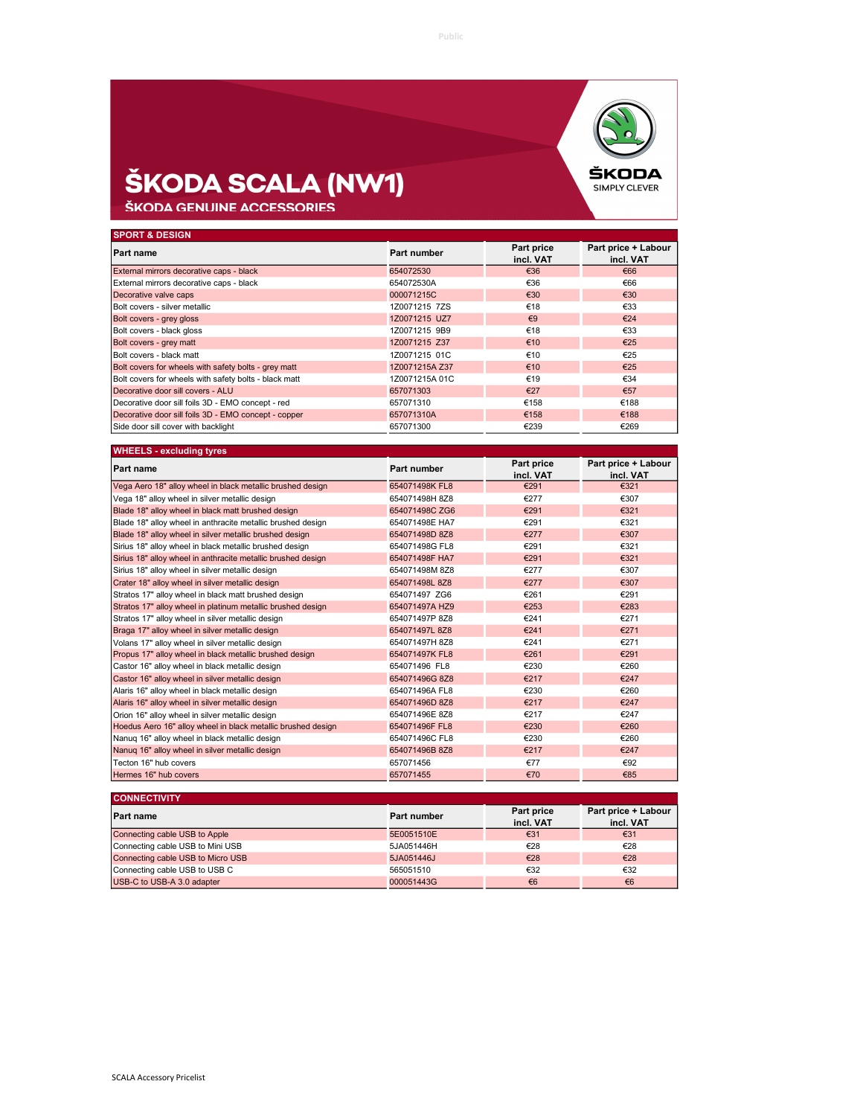

## **ŠKODA SCALA (NW1)**<br>ŠKODA GENUINE ACCESSORIES

| <b>SPORT &amp; DESIGN</b>                             |                |                         |                                  |
|-------------------------------------------------------|----------------|-------------------------|----------------------------------|
| Part name                                             | Part number    | Part price<br>incl. VAT | Part price + Labour<br>incl. VAT |
| External mirrors decorative caps - black              | 654072530      | €36                     | €66                              |
| External mirrors decorative caps - black              | 654072530A     | €36                     | €66                              |
| Decorative valve caps                                 | 000071215C     | €30                     | €30                              |
| Bolt covers - silver metallic                         | 1Z0071215 7ZS  | €18                     | €33                              |
| Bolt covers - grey gloss                              | 1Z0071215 UZ7  | $\epsilon$ 9            | €24                              |
| Bolt covers - black gloss                             | 1Z0071215 9B9  | €18                     | €33                              |
| Bolt covers - grey matt                               | 1Z0071215 Z37  | €10                     | €25                              |
| Bolt covers - black matt                              | 1Z0071215 01C  | €10                     | €25                              |
| Bolt covers for wheels with safety bolts - grey matt  | 1Z0071215A Z37 | €10                     | €25                              |
| Bolt covers for wheels with safety bolts - black matt | 1Z0071215A 01C | €19                     | €34                              |
| Decorative door sill covers - ALU                     | 657071303      | €27                     | €57                              |
| Decorative door sill foils 3D - EMO concept - red     | 657071310      | €158                    | €188                             |
| Decorative door sill foils 3D - EMO concept - copper  | 657071310A     | €158                    | €188                             |
| Side door sill cover with backlight                   | 657071300      | €239                    | €269                             |

| <b>WHEELS - excluding tyres</b>                              |                |                         |                                  |
|--------------------------------------------------------------|----------------|-------------------------|----------------------------------|
| <b>Part name</b>                                             | Part number    | Part price<br>incl. VAT | Part price + Labour<br>incl. VAT |
| Vega Aero 18" alloy wheel in black metallic brushed design   | 654071498K FL8 | €291                    | €321                             |
| Vega 18" alloy wheel in silver metallic design               | 654071498H 8Z8 | €277                    | €307                             |
| Blade 18" alloy wheel in black matt brushed design           | 654071498C ZG6 | €291                    | €321                             |
| Blade 18" alloy wheel in anthracite metallic brushed design  | 654071498E HA7 | €291                    | €321                             |
| Blade 18" alloy wheel in silver metallic brushed design      | 654071498D 8Z8 | €277                    | €307                             |
| Sirius 18" alloy wheel in black metallic brushed design      | 654071498G FL8 | €291                    | €321                             |
| Sirius 18" alloy wheel in anthracite metallic brushed design | 654071498F HA7 | €291                    | €321                             |
| Sirius 18" alloy wheel in silver metallic design             | 654071498M 8Z8 | €277                    | €307                             |
| Crater 18" alloy wheel in silver metallic design             | 654071498L 8Z8 | €277                    | €307                             |
| Stratos 17" alloy wheel in black matt brushed design         | 654071497 ZG6  | €261                    | €291                             |
| Stratos 17" alloy wheel in platinum metallic brushed design  | 654071497A HZ9 | €253                    | €283                             |
| Stratos 17" alloy wheel in silver metallic design            | 654071497P 8Z8 | €241                    | €271                             |
| Braga 17" alloy wheel in silver metallic design              | 654071497L8Z8  | €241                    | €271                             |
| Volans 17" alloy wheel in silver metallic design             | 654071497H 8Z8 | €241                    | €271                             |
| Propus 17" alloy wheel in black metallic brushed design      | 654071497K FL8 | €261                    | €291                             |
| Castor 16" alloy wheel in black metallic design              | 654071496 FL8  | €230                    | €260                             |
| Castor 16" alloy wheel in silver metallic design             | 654071496G 8Z8 | €217                    | €247                             |
| Alaris 16" alloy wheel in black metallic design              | 654071496A FL8 | €230                    | €260                             |
| Alaris 16" alloy wheel in silver metallic design             | 654071496D 8Z8 | €217                    | €247                             |
| Orion 16" alloy wheel in silver metallic design              | 654071496E 8Z8 | €217                    | €247                             |
| Hoedus Aero 16" alloy wheel in black metallic brushed design | 654071496F FL8 | €230                    | €260                             |
| Nanug 16" alloy wheel in black metallic design               | 654071496C FL8 | €230                    | €260                             |
| Nanuq 16" alloy wheel in silver metallic design              | 654071496B 8Z8 | €217                    | €247                             |
| Tecton 16" hub covers                                        | 657071456      | €77                     | €92                              |
| Hermes 16" hub covers                                        | 657071455      | €70                     | €85                              |

| <b>CONNECTIVITY</b>               |             |                         |                                  |
|-----------------------------------|-------------|-------------------------|----------------------------------|
| Part name                         | Part number | Part price<br>incl. VAT | Part price + Labour<br>incl. VAT |
| Connecting cable USB to Apple     | 5E0051510E  | €31                     | €31                              |
| Connecting cable USB to Mini USB  | 5JA051446H  | €28                     | €28                              |
| Connecting cable USB to Micro USB | 5JA051446J  | €28                     | €28                              |
| Connecting cable USB to USB C     | 565051510   | €32                     | €32                              |
| USB-C to USB-A 3.0 adapter        | 000051443G  | €6                      | €6                               |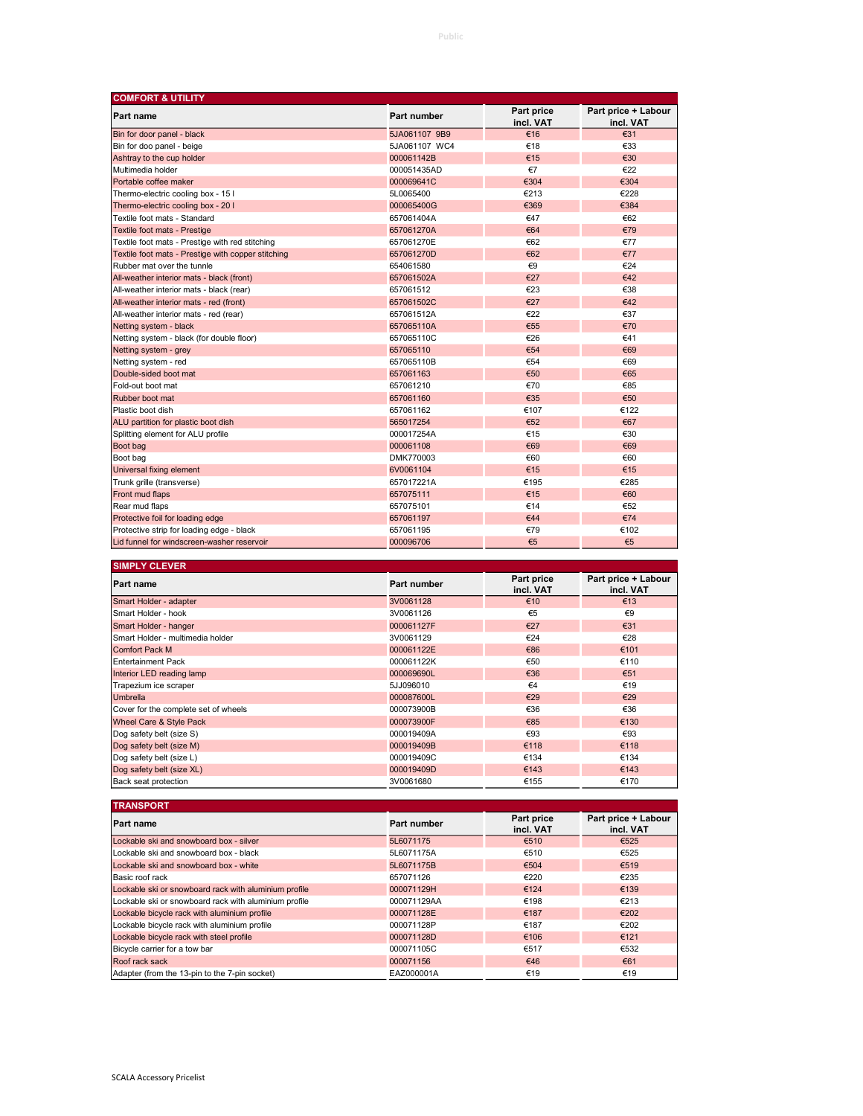| <b>COMFORT &amp; UTILITY</b>                       |               |                         |                                  |  |
|----------------------------------------------------|---------------|-------------------------|----------------------------------|--|
| Part name                                          | Part number   | Part price<br>incl. VAT | Part price + Labour<br>incl. VAT |  |
| Bin for door panel - black                         | 5JA061107 9B9 | €16                     | €31                              |  |
| Bin for doo panel - beige                          | 5JA061107 WC4 | €18                     | €33                              |  |
| Ashtray to the cup holder                          | 000061142B    | €15                     | €30                              |  |
| Multimedia holder                                  | 000051435AD   | €7                      | €22                              |  |
| Portable coffee maker                              | 000069641C    | €304                    | €304                             |  |
| Thermo-electric cooling box - 15 l                 | 5L0065400     | €213                    | €228                             |  |
| Thermo-electric cooling box - 20 I                 | 000065400G    | €369                    | €384                             |  |
| Textile foot mats - Standard                       | 657061404A    | €47                     | €62                              |  |
| Textile foot mats - Prestige                       | 657061270A    | €64                     | €79                              |  |
| Textile foot mats - Prestige with red stitching    | 657061270E    | €62                     | €77                              |  |
| Textile foot mats - Prestige with copper stitching | 657061270D    | €62                     | €77                              |  |
| Rubber mat over the tunnle                         | 654061580     | €9                      | €24                              |  |
| All-weather interior mats - black (front)          | 657061502A    | €27                     | €42                              |  |
| All-weather interior mats - black (rear)           | 657061512     | €23                     | €38                              |  |
| All-weather interior mats - red (front)            | 657061502C    | €27                     | €42                              |  |
| All-weather interior mats - red (rear)             | 657061512A    | €22                     | €37                              |  |
| Netting system - black                             | 657065110A    | €55                     | €70                              |  |
| Netting system - black (for double floor)          | 657065110C    | €26                     | €41                              |  |
| Netting system - grey                              | 657065110     | €54                     | €69                              |  |
| Netting system - red                               | 657065110B    | €54                     | €69                              |  |
| Double-sided boot mat                              | 657061163     | €50                     | €65                              |  |
| Fold-out boot mat                                  | 657061210     | €70                     | €85                              |  |
| Rubber boot mat                                    | 657061160     | €35                     | €50                              |  |
| Plastic boot dish                                  | 657061162     | €107                    | €122                             |  |
| ALU partition for plastic boot dish                | 565017254     | €52                     | €67                              |  |
| Splitting element for ALU profile                  | 000017254A    | €15                     | €30                              |  |
| Boot bag                                           | 000061108     | €69                     | €69                              |  |
| Boot bag                                           | DMK770003     | €60                     | €60                              |  |
| Universal fixing element                           | 6V0061104     | €15                     | €15                              |  |
| Trunk grille (transverse)                          | 657017221A    | €195                    | €285                             |  |
| Front mud flaps                                    | 657075111     | €15                     | €60                              |  |
| Rear mud flaps                                     | 657075101     | €14                     | €52                              |  |
| Protective foil for loading edge                   | 657061197     | €44                     | €74                              |  |
| Protective strip for loading edge - black          | 657061195     | €79                     | €102                             |  |
| Lid funnel for windscreen-washer reservoir         | 000096706     | €5                      | €5                               |  |

| <b>SIMPLY CLEVER</b>                 |             |                         |                                  |
|--------------------------------------|-------------|-------------------------|----------------------------------|
| <b>Part name</b>                     | Part number | Part price<br>incl. VAT | Part price + Labour<br>incl. VAT |
| Smart Holder - adapter               | 3V0061128   | €10                     | €13                              |
| Smart Holder - hook                  | 3V0061126   | €5                      | $\epsilon$ 9                     |
| Smart Holder - hanger                | 000061127F  | €27                     | €31                              |
| Smart Holder - multimedia holder     | 3V0061129   | €24                     | €28                              |
| <b>Comfort Pack M</b>                | 000061122E  | €86                     | €101                             |
| <b>Entertainment Pack</b>            | 000061122K  | €50                     | €110                             |
| Interior LED reading lamp            | 000069690L  | €36                     | €51                              |
| Trapezium ice scraper                | 5JJ096010   | $\epsilon$ 4            | €19                              |
| <b>Umbrella</b>                      | 000087600L  | €29                     | €29                              |
| Cover for the complete set of wheels | 000073900B  | €36                     | €36                              |
| Wheel Care & Style Pack              | 000073900F  | €85                     | €130                             |
| Dog safety belt (size S)             | 000019409A  | €93                     | €93                              |
| Dog safety belt (size M)             | 000019409B  | €118                    | €118                             |
| Dog safety belt (size L)             | 000019409C  | €134                    | €134                             |
| Dog safety belt (size XL)            | 000019409D  | €143                    | €143                             |
| Back seat protection                 | 3V0061680   | €155                    | €170                             |

| <b>TRANSPORT</b>                                      |             |                         |                                  |
|-------------------------------------------------------|-------------|-------------------------|----------------------------------|
| Part name                                             | Part number | Part price<br>incl. VAT | Part price + Labour<br>incl. VAT |
| Lockable ski and snowboard box - silver               | 5L6071175   | €510                    | €525                             |
| Lockable ski and snowboard box - black                | 5L6071175A  | €510                    | €525                             |
| Lockable ski and snowboard box - white                | 5L6071175B  | €504                    | €519                             |
| Basic roof rack                                       | 657071126   | €220                    | €235                             |
| Lockable ski or snowboard rack with aluminium profile | 000071129H  | €124                    | €139                             |
| Lockable ski or snowboard rack with aluminium profile | 000071129AA | €198                    | €213                             |
| Lockable bicycle rack with aluminium profile          | 000071128E  | €187                    | €202                             |
| Lockable bicycle rack with aluminium profile          | 000071128P  | €187                    | €202                             |
| Lockable bicycle rack with steel profile              | 000071128D  | €106                    | €121                             |
| Bicycle carrier for a tow bar                         | 000071105C  | €517                    | €532                             |
| Roof rack sack                                        | 000071156   | €46                     | €61                              |
| Adapter (from the 13-pin to the 7-pin socket)         | EAZ000001A  | €19                     | €19                              |